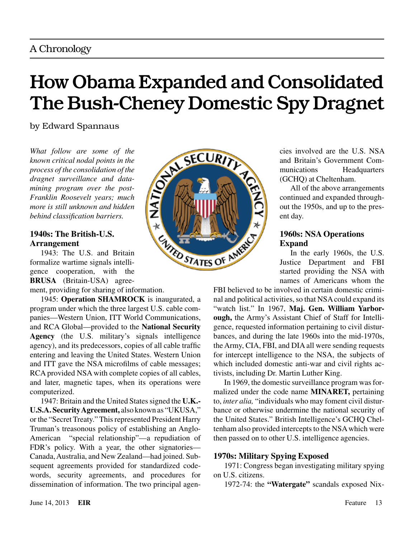# How Obama Expanded and Consolidated The Bush-Cheney Domestic Spy Dragnet

by Edward Spannaus

*What follow are some of the known critical nodal points in the process of the consolidation of the dragnet surveillance and datamining program over the post-Franklin Roosevelt years; much more is still unknown and hidden behind classification barriers.*

# **1940s: The British-U.S. Arrangement**

1943: The U.S. and Britain formalize wartime signals intelligence cooperation, with the **BRUSA** (Britain-USA) agree-

ment, providing for sharing of information.

1945: **Operation SHAMROCK** is inaugurated, a program under which the three largest U.S. cable companies—Western Union, ITT World Communications, and RCA Global—provided to the **National Security Agency** (the U.S. military's signals intelligence agency), and its predecessors, copies of all cable traffic entering and leaving the United States. Western Union and ITT gave the NSA microfilms of cable messages; RCA provided NSA with complete copies of all cables, and later, magnetic tapes, when its operations were computerized.

1947: Britain and the United States signed the **U.K.- U.S.A. Security Agreement,** also known as "UKUSA," or the "Secret Treaty." This represented President Harry Truman's treasonous policy of establishing an Anglo-American "special relationship"—a repudiation of FDR's policy. With a year, the other signatories— Canada, Australia, and New Zealand—had joined. Subsequent agreements provided for standardized codewords, security agreements, and procedures for dissemination of information. The two principal agen-



cies involved are the U.S. NSA and Britain's Government Communications Headquarters (GCHQ) at Cheltenham.

All of the above arrangements continued and expanded throughout the 1950s, and up to the present day.

# **1960s: NSA Operations Expand**

In the early 1960s, the U.S. Justice Department and FBI started providing the NSA with names of Americans whom the

FBI believed to be involved in certain domestic criminal and political activities, so that NSA could expand its "watch list." In 1967, **Maj. Gen. William Yarborough,** the Army's Assistant Chief of Staff for Intelligence, requested information pertaining to civil disturbances, and during the late 1960s into the mid-1970s, the Army, CIA, FBI, and DIA all were sending requests for intercept intelligence to the NSA, the subjects of which included domestic anti-war and civil rights activists, including Dr. Martin Luther King.

In 1969, the domestic surveillance program was formalized under the code name **MINARET,** pertaining to, *inter alia,* "individuals who may foment civil disturbance or otherwise undermine the national security of the United States." British Intelligence's GCHQ Cheltenham also provided intercepts to the NSA which were then passed on to other U.S. intelligence agencies.

# **1970s: Military Spying Exposed**

1971: Congress began investigating military spying on U.S. citizens.

1972-74: the **"Watergate"** scandals exposed Nix-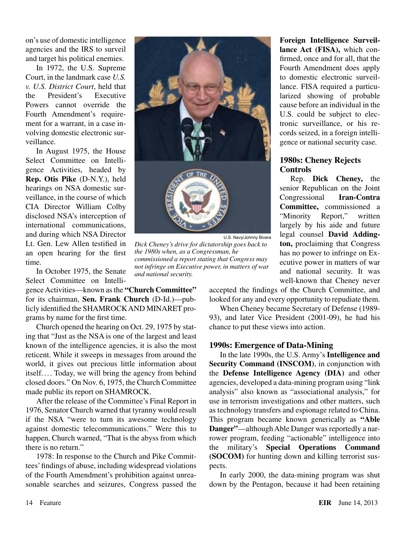on's use of domestic intelligence agencies and the IRS to surveil and target his political enemies.

In 1972, the U.S. Supreme Court, in the landmark case *U.S. v. U.S. District Court*, held that the President's Executive Powers cannot override the Fourth Amendment's requirement for a warrant, in a case involving domestic electronic surveillance.

In August 1975, the House Select Committee on Intelligence Activities, headed by **Rep. Otis Pike** (D-N.Y.), held hearings on NSA domestic surveillance, in the course of which CIA Director William Colby disclosed NSA's interception of international communications, and during which NSA Director Lt. Gen. Lew Allen testified in an open hearing for the first time.

In October 1975, the Senate Select Committee on Intelli-

gence Activities—known as the **"Church Committee"** for its chairman, **Sen. Frank Church** (D-Id.)—publicly identified the SHAMROCK AND MINARET programs by name for the first time.

Church opened the hearing on Oct. 29, 1975 by stating that "Just as the NSA is one of the largest and least known of the intelligence agencies, it is also the most reticent. While it sweeps in messages from around the world, it gives out precious little information about itself. ... Today, we will bring the agency from behind closed doors." On Nov. 6, 1975, the Church Committee made public its report on SHAMROCK.

After the release of the Committee's Final Report in 1976, Senator Church warned that tyranny would result if the NSA "were to turn its awesome technology against domestic telecommunications." Were this to happen, Church warned, "That is the abyss from which there is no return."

1978: In response to the Church and Pike Committees' findings of abuse, including widespread violations of the Fourth Amendment's prohibition against unreasonable searches and seizures, Congress passed the



U.S. Navy/Johnny Bivera

*Dick Cheney's drive for dictatorship goes back to the 1980s when, as a Congressman, he commissioned a report stating that Congress may not infringe on Executive power, in matters of war and national security.*

**Foreign Intelligence Surveillance Act (FISA),** which confirmed, once and for all, that the Fourth Amendment does apply to domestic electronic surveillance. FISA required a particularized showing of probable cause before an individual in the U.S. could be subject to electronic surveillance, or his records seized, in a foreign intelligence or national security case.

# **1980s: Cheney Rejects Controls**

Rep. **Dick Cheney,** the senior Republican on the Joint Congressional **Iran-Contra Committee,** commissioned a "Minority Report," written largely by his aide and future legal counsel **David Addington,** proclaiming that Congress has no power to infringe on Executive power in matters of war and national security. It was well-known that Cheney never

accepted the findings of the Church Committee, and looked for any and every opportunity to repudiate them.

When Cheney became Secretary of Defense (1989- 93), and later Vice President (2001-09), he had his chance to put these views into action.

### **1990s: Emergence of Data-Mining**

In the late 1990s, the U.S. Army's **Intelligence and Security Command (INSCOM)**, in conjunction with the **Defense Intelligence Agency (DIA)** and other agencies, developed a data-mining program using "link analysis" also known as "associational analysis," for use in terrorism investigations and other matters, such as technology transfers and espionage related to China. This program became known generically as **"Able Danger"**—although Able Danger was reportedly a narrower program, feeding "actionable" intelligence into the military's **Special Operations Command (SOCOM)** for hunting down and killing terrorist suspects.

In early 2000, the data-mining program was shut down by the Pentagon, because it had been retaining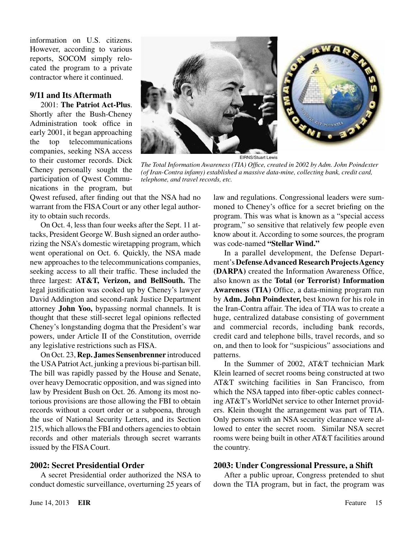information on U.S. citizens. However, according to various reports, SOCOM simply relocated the program to a private contractor where it continued.

### **9/11 and Its Aftermath**

2001: **The Patriot Act-Plus**. Shortly after the Bush-Cheney Administration took office in early 2001, it began approaching the top telecommunications companies, seeking NSA access to their customer records. Dick Cheney personally sought the participation of Qwest Communications in the program, but

Qwest refused, after finding out that the NSA had no warrant from the FISA Court or any other legal authority to obtain such records.

On Oct. 4, less than four weeks after the Sept. 11 attacks, President George W. Bush signed an order authorizing the NSA's domestic wiretapping program, which went operational on Oct. 6. Quickly, the NSA made new approaches to the telecommunications companies, seeking access to all their traffic. These included the three largest: **AT&T, Verizon, and BellSouth.** The legal justification was cooked up by Cheney's lawyer David Addington and second-rank Justice Department attorney **John Yoo,** bypassing normal channels. It is thought that these still-secret legal opinions reflected Cheney's longstanding dogma that the President's war powers, under Article II of the Constitution, override any legislative restrictions such as FISA.

On Oct. 23, **Rep. James Sensenbrenner** introduced the USA Patriot Act, junking a previous bi-partisan bill. The bill was rapidly passed by the House and Senate, over heavy Democratic opposition, and was signed into law by President Bush on Oct. 26. Among its most notorious provisions are those allowing the FBI to obtain records without a court order or a subpoena, through the use of National Security Letters, and its Section 215, which allows the FBI and others agencies to obtain records and other materials through secret warrants issued by the FISA Court.

#### **2002: Secret Presidential Order**

A secret Presidential order authorized the NSA to conduct domestic surveillance, overturning 25 years of



*The Total Information Awareness (TIA) Office, created in 2002 by Adm. John Poindexter (of Iran-Contra infamy) established a massive data-mine, collecting bank, credit card, telephone, and travel records, etc.*

law and regulations. Congressional leaders were summoned to Cheney's office for a secret briefing on the program. This was what is known as a "special access program," so sensitive that relatively few people even know about it. According to some sources, the program was code-named **"Stellar Wind."**

In a parallel development, the Defense Department's **Defense Advanced Research Projects Agency (DARPA)** created the Information Awareness Office, also known as the **Total (or Terrorist) Information Awareness (TIA)** Office, a data-mining program run by **Adm. John Poindexter,** best known for his role in the Iran-Contra affair. The idea of TIA was to create a huge, centralized database consisting of government and commercial records, including bank records, credit card and telephone bills, travel records, and so on, and then to look for "suspicious" associations and patterns.

In the Summer of 2002, AT&T technician Mark Klein learned of secret rooms being constructed at two AT&T switching facilities in San Francisco, from which the NSA tapped into fiber-optic cables connecting AT&T's WorldNet service to other Internet providers. Klein thought the arrangement was part of TIA. Only persons with an NSA security clearance were allowed to enter the secret room. Similar NSA secret rooms were being built in other AT&T facilities around the country.

#### **2003: Under Congressional Pressure, a Shift**

After a public uproar, Congress pretended to shut down the TIA program, but in fact, the program was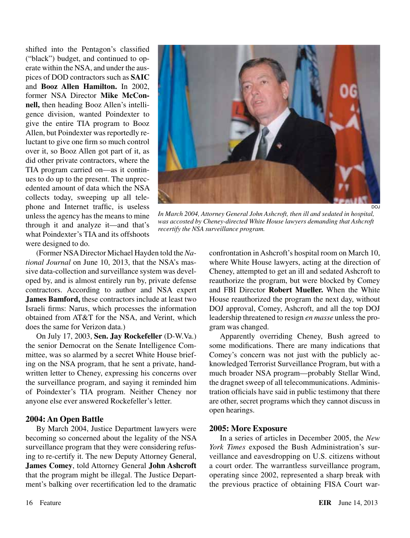shifted into the Pentagon's classified ("black") budget, and continued to operate within the NSA, and under the auspices of DOD contractors such as **SAIC** and **Booz Allen Hamilton.** In 2002, former NSA Director **Mike McConnell,** then heading Booz Allen's intelligence division, wanted Poindexter to give the entire TIA program to Booz Allen, but Poindexter was reportedly reluctant to give one firm so much control over it, so Booz Allen got part of it, as did other private contractors, where the TIA program carried on—as it continues to do up to the present. The unprecedented amount of data which the NSA collects today, sweeping up all telephone and Internet traffic, is useless unless the agency has the means to mine through it and analyze it—and that's what Poindexter's TIA and its offshoots were designed to do.



*In March 2004, Attorney General John Ashcroft, then ill and sedated in hospital, was accosted by Cheney-directed White House lawyers demanding that Ashcroft recertify the NSA surveillance program.*

(Former NSA Director Michael Hayden told the *National Journal* on June 10, 2013, that the NSA's massive data-collection and surveillance system was developed by, and is almost entirely run by, private defense contractors. According to author and NSA expert **James Bamford,** these contractors include at least two Israeli firms: Narus, which processes the information obtained from AT&T for the NSA, and Verint, which does the same for Verizon data.)

On July 17, 2003, **Sen. Jay Rockefeller** (D-W.Va.) the senior Democrat on the Senate Intelligence Committee, was so alarmed by a secret White House briefing on the NSA program, that he sent a private, handwritten letter to Cheney, expressing his concerns over the surveillance program, and saying it reminded him of Poindexter's TIA program. Neither Cheney nor anyone else ever answered Rockefeller's letter.

### **2004: An Open Battle**

By March 2004, Justice Department lawyers were becoming so concerned about the legality of the NSA surveillance program that they were considering refusing to re-certify it. The new Deputy Attorney General, **James Comey**, told Attorney General **John Ashcroft** that the program might be illegal. The Justice Department's balking over recertification led to the dramatic confrontation in Ashcroft's hospital room on March 10, where White House lawyers, acting at the direction of Cheney, attempted to get an ill and sedated Ashcroft to reauthorize the program, but were blocked by Comey and FBI Director **Robert Mueller.** When the White House reauthorized the program the next day, without DOJ approval, Comey, Ashcroft, and all the top DOJ leadership threatened to resign *en masse* unless the program was changed.

Apparently overriding Cheney, Bush agreed to some modifications. There are many indications that Comey's concern was not just with the publicly acknowledged Terrorist Surveillance Program, but with a much broader NSA program—probably Stellar Wind, the dragnet sweep of all telecommunications. Administration officials have said in public testimony that there are other, secret programs which they cannot discuss in open hearings.

# **2005: More Exposure**

In a series of articles in December 2005, the *New York Times* exposed the Bush Administration's surveillance and eavesdropping on U.S. citizens without a court order. The warrantless surveillance program, operating since 2002, represented a sharp break with the previous practice of obtaining FISA Court war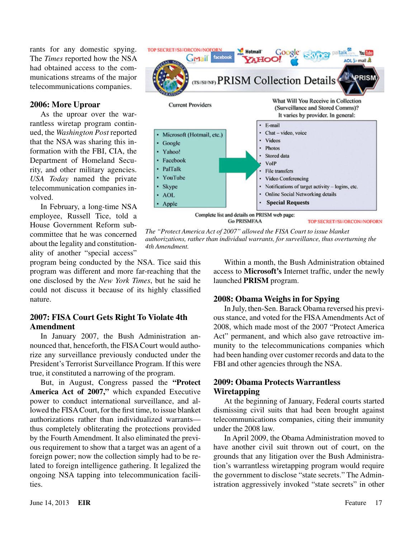rants for any domestic spying. The *Times* reported how the NSA had obtained access to the communications streams of the major telecommunications companies.

## **2006: More Uproar**

As the uproar over the warrantless wiretap program continued, the *Washington Post* reported that the NSA was sharing this information with the FBI, CIA, the Department of Homeland Security, and other military agencies. *USA Today* named the private telecommunication companies involved.

In February, a long-time NSA employee, Russell Tice, told a House Government Reform subcommittee that he was concerned about the legality and constitutionality of another "special access"

program being conducted by the NSA. Tice said this program was different and more far-reaching that the one disclosed by the *New York Times*, but he said he could not discuss it because of its highly classified nature.

# **2007: FISA Court Gets Right To Violate 4th Amendment**

In January 2007, the Bush Administration announced that, henceforth, the FISA Court would authorize any surveillance previously conducted under the President's Terrorist Surveillance Program. If this were true, it constituted a narrowing of the program.

But, in August, Congress passed the **"Protect America Act of 2007,"** which expanded Executive power to conduct international surveillance, and allowed the FISA Court, for the first time, to issue blanket authorizations rather than individualized warrants thus completely obliterating the protections provided by the Fourth Amendment. It also eliminated the previous requirement to show that a target was an agent of a foreign power; now the collection simply had to be related to foreign intelligence gathering. It legalized the ongoing NSA tapping into telecommunication facilities.



*The "Protect America Act of 2007" allowed the FISA Court to issue blanket authorizations, rather than individual warrants, for surveillance, thus overturning the 4th Amendment.*

Within a month, the Bush Administration obtained access to **Microsoft's** Internet traffic, under the newly launched **PRISM** program.

# **2008: Obama Weighs in for Spying**

In July, then-Sen. Barack Obama reversed his previous stance, and voted for the FISA Amendments Act of 2008, which made most of the 2007 "Protect America Act" permanent, and which also gave retroactive immunity to the telecommunications companies which had been handing over customer records and data to the FBI and other agencies through the NSA.

## **2009: Obama Protects Warrantless Wiretapping**

At the beginning of January, Federal courts started dismissing civil suits that had been brought against telecommunications companies, citing their immunity under the 2008 law.

In April 2009, the Obama Administration moved to have another civil suit thrown out of court, on the grounds that any litigation over the Bush Administration's warrantless wiretapping program would require the government to disclose "state secrets." The Administration aggressively invoked "state secrets" in other